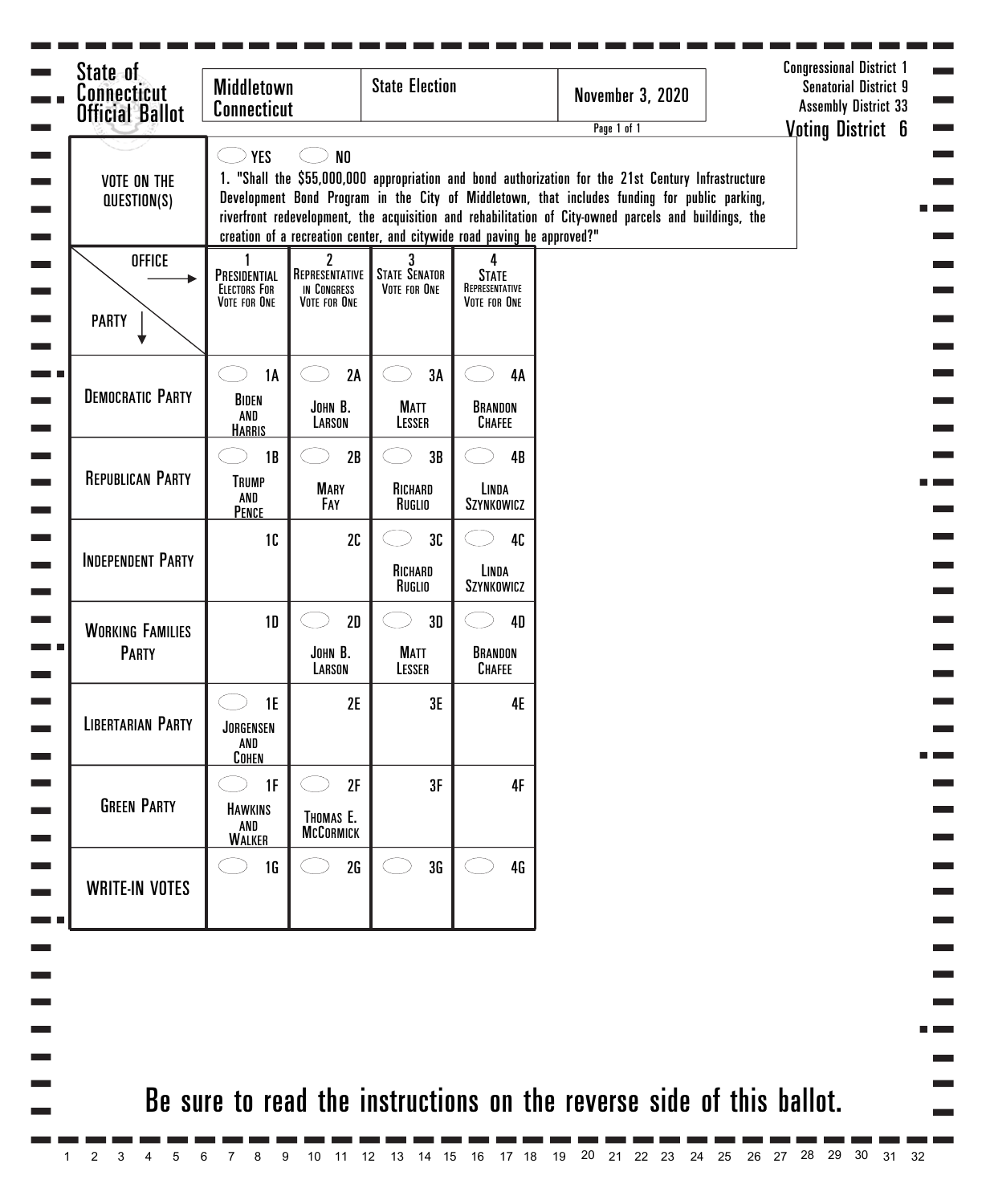| State of<br><b>Connecticut</b><br><b>Official Ballot</b> | <b>Middletown</b><br><b>Connecticut</b>             |                                                               | <b>State Election</b>                     |                                                                         | <b>November 3, 2020</b><br>Page 1 of 1                                                                                                                                                                                                                                                                        | <b>Congressional District 1</b><br><b>Senatorial District 9</b><br><b>Assembly District 33</b><br><b>Voting District 6</b> |
|----------------------------------------------------------|-----------------------------------------------------|---------------------------------------------------------------|-------------------------------------------|-------------------------------------------------------------------------|---------------------------------------------------------------------------------------------------------------------------------------------------------------------------------------------------------------------------------------------------------------------------------------------------------------|----------------------------------------------------------------------------------------------------------------------------|
| <b>VOTE ON THE</b><br>QUESTION(S)                        | <b>YES</b>                                          | N <sub>0</sub>                                                |                                           | creation of a recreation center, and citywide road paving be approved?" | 1. "Shall the \$55,000,000 appropriation and bond authorization for the 21st Century Infrastructure<br>Development Bond Program in the City of Middletown, that includes funding for public parking,<br>riverfront redevelopment, the acquisition and rehabilitation of City-owned parcels and buildings, the |                                                                                                                            |
| <b>OFFICE</b><br><b>PARTY</b>                            | PRESIDENTIAL<br><b>ELECTORS FOR</b><br>VOTE FOR ONE | $\mathbf{2}$<br>REPRESENTATIVE<br>IN CONGRESS<br>VOTE FOR ONE | 3<br><b>STATE SENATOR</b><br>VOTE FOR ONE | 4<br><b>STATE</b><br>REPRESENTATIVE<br>VOTE FOR ONE                     |                                                                                                                                                                                                                                                                                                               |                                                                                                                            |
| <b>DEMOCRATIC PARTY</b>                                  | 1A<br>BIDEN<br>AND<br><b>HARRIS</b>                 | 2A<br>JOHN B.<br>LARSON                                       | 3A<br><b>MATT</b><br>LESSER               | 4A<br>BRANDON<br><b>CHAFEE</b>                                          |                                                                                                                                                                                                                                                                                                               |                                                                                                                            |
| <b>REPUBLICAN PARTY</b>                                  | 1B<br><b>TRUMP</b><br>AND<br>PENCE                  | 2B<br><b>MARY</b><br>FAY                                      | 3B<br>RICHARD<br>Ruglio                   | 4B<br>LINDA<br>SZYNKOWICZ                                               |                                                                                                                                                                                                                                                                                                               |                                                                                                                            |
| <b>INDEPENDENT PARTY</b>                                 | 1C                                                  | 2C                                                            | 3C<br>RICHARD<br>Ruglio                   | 40<br>LINDA<br>SZYNKOWICZ                                               |                                                                                                                                                                                                                                                                                                               |                                                                                                                            |
| <b>WORKING FAMILIES</b><br><b>PARTY</b>                  | 1 <sub>D</sub>                                      | 2D<br>JOHN B.<br>LARSON                                       | 3D<br><b>MATT</b><br>LESSER               | <b>4D</b><br>BRANDON<br><b>CHAFEE</b>                                   |                                                                                                                                                                                                                                                                                                               |                                                                                                                            |
| <b>LIBERTARIAN PARTY</b>                                 | 1E<br>JORGENSEN<br>AND<br><b>COHEN</b>              | 2E                                                            | 3E                                        | <b>4E</b>                                                               |                                                                                                                                                                                                                                                                                                               |                                                                                                                            |
| <b>GREEN PARTY</b>                                       | 1F<br><b>HAWKINS</b><br>AND<br><b>WALKER</b>        | 2F<br>THOMAS E.<br><b>MCCORMICK</b>                           | 3F                                        | 4F                                                                      |                                                                                                                                                                                                                                                                                                               |                                                                                                                            |
| <b>WRITE-IN VOTES</b>                                    | 1 <sub>G</sub>                                      | 2G                                                            | 3G                                        | 4G                                                                      |                                                                                                                                                                                                                                                                                                               |                                                                                                                            |
|                                                          |                                                     |                                                               |                                           |                                                                         |                                                                                                                                                                                                                                                                                                               |                                                                                                                            |
|                                                          |                                                     |                                                               |                                           |                                                                         | Be sure to read the instructions on the reverse side of this ballot.                                                                                                                                                                                                                                          |                                                                                                                            |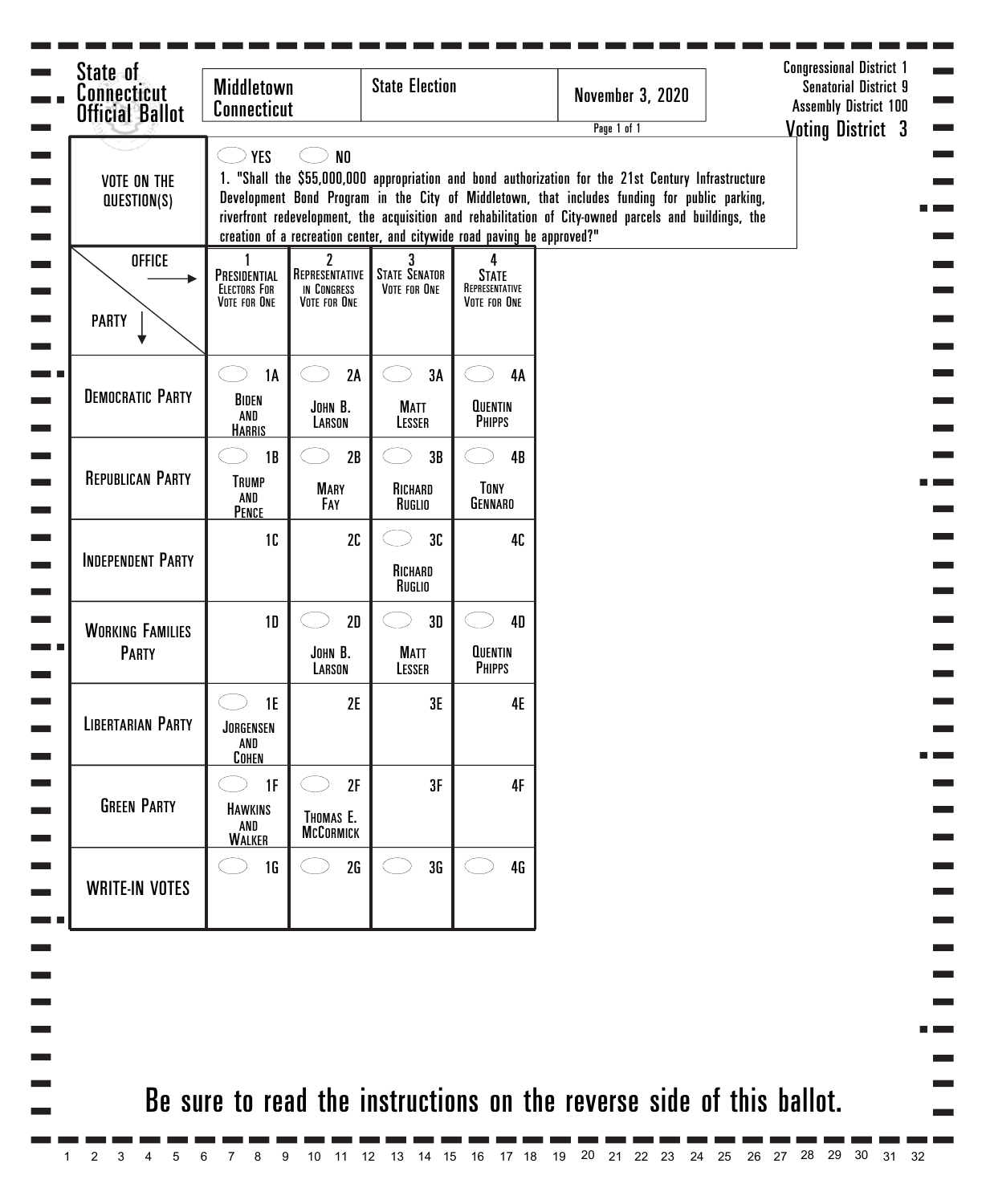| State of<br><b>Connecticut</b><br><b>Official Ballot</b> | <b>Middletown</b><br><b>Connecticut</b>                  |                                                               | <b>State Election</b>                     |                                                                         | <b>November 3, 2020</b><br>Page 1 of 1                                                                                                                                                                                                                                                                        | <b>Congressional District 1</b><br><b>Senatorial District 9</b><br><b>Assembly District 100</b><br><b>Voting District 3</b> |
|----------------------------------------------------------|----------------------------------------------------------|---------------------------------------------------------------|-------------------------------------------|-------------------------------------------------------------------------|---------------------------------------------------------------------------------------------------------------------------------------------------------------------------------------------------------------------------------------------------------------------------------------------------------------|-----------------------------------------------------------------------------------------------------------------------------|
| <b>VOTE ON THE</b><br>QUESTION(S)                        | <b>YES</b>                                               | N <sub>0</sub>                                                |                                           | creation of a recreation center, and citywide road paving be approved?" | 1. "Shall the \$55,000,000 appropriation and bond authorization for the 21st Century Infrastructure<br>Development Bond Program in the City of Middletown, that includes funding for public parking,<br>riverfront redevelopment, the acquisition and rehabilitation of City-owned parcels and buildings, the |                                                                                                                             |
| <b>OFFICE</b><br><b>PARTY</b>                            | 1<br>PRESIDENTIAL<br><b>ELECTORS FOR</b><br>VOTE FOR ONE | $\mathbf{2}$<br>REPRESENTATIVE<br>IN CONGRESS<br>VOTE FOR ONE | 3<br><b>STATE SENATOR</b><br>VOTE FOR ONE | 4<br><b>STATE</b><br>REPRESENTATIVE<br>VOTE FOR ONE                     |                                                                                                                                                                                                                                                                                                               |                                                                                                                             |
| <b>DEMOCRATIC PARTY</b>                                  | 1A<br>BIDEN<br>AND<br><b>HARRIS</b>                      | 2A<br>JOHN B.<br>LARSON                                       | 3A<br><b>MATT</b><br>LESSER               | 4A<br><b>QUENTIN</b><br><b>PHIPPS</b>                                   |                                                                                                                                                                                                                                                                                                               |                                                                                                                             |
| <b>REPUBLICAN PARTY</b>                                  | 1B<br><b>TRUMP</b><br>AND<br>PENCE                       | 2B<br><b>MARY</b><br>FAY                                      | 3B<br>RICHARD<br>RUGLIO                   | 4B<br><b>TONY</b><br><b>GENNARO</b>                                     |                                                                                                                                                                                                                                                                                                               |                                                                                                                             |
| <b>INDEPENDENT PARTY</b>                                 | 1 <sub>C</sub>                                           | 2C                                                            | 3C<br>RICHARD<br>RUGLIO                   | 40                                                                      |                                                                                                                                                                                                                                                                                                               |                                                                                                                             |
| <b>WORKING FAMILIES</b><br><b>PARTY</b>                  | 1 <sub>D</sub>                                           | 2D<br>JOHN B.<br>LARSON                                       | 3D<br><b>MATT</b><br>LESSER               | 4D<br><b>QUENTIN</b><br><b>PHIPPS</b>                                   |                                                                                                                                                                                                                                                                                                               |                                                                                                                             |
| <b>LIBERTARIAN PARTY</b>                                 | 1E<br>JORGENSEN<br>AND<br><b>COHEN</b>                   | 2E                                                            | 3E                                        | <b>4E</b>                                                               |                                                                                                                                                                                                                                                                                                               |                                                                                                                             |
| <b>GREEN PARTY</b>                                       | 1F<br><b>HAWKINS</b><br>AND<br><b>WALKER</b>             | 2F<br>THOMAS E.<br><b>MCCORMICK</b>                           | 3F                                        | 4F                                                                      |                                                                                                                                                                                                                                                                                                               |                                                                                                                             |
| <b>WRITE-IN VOTES</b>                                    | <b>1G</b>                                                | 2G                                                            | 3G                                        | 4G                                                                      |                                                                                                                                                                                                                                                                                                               |                                                                                                                             |
|                                                          |                                                          |                                                               |                                           |                                                                         |                                                                                                                                                                                                                                                                                                               |                                                                                                                             |
|                                                          |                                                          |                                                               |                                           |                                                                         | Be sure to read the instructions on the reverse side of this ballot.                                                                                                                                                                                                                                          |                                                                                                                             |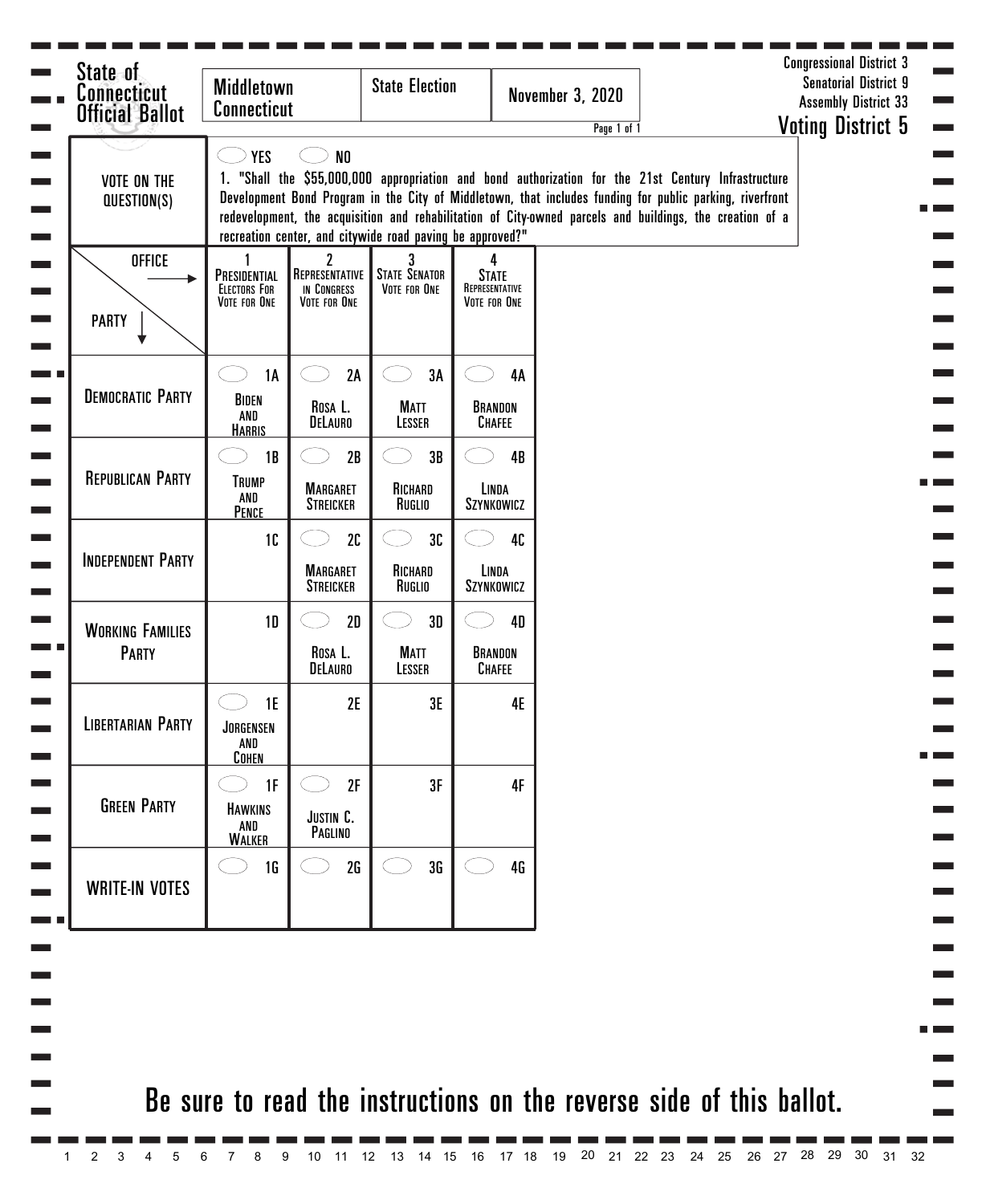| <b>VOTE ON THE</b><br>QUESTION(S)       | <b>YES</b>                                          | N <sub>0</sub>                                     | recreation center, and citywide road paving be approved?" |                                                     | Page 1 of 1<br>1. "Shall the \$55,000,000 appropriation and bond authorization for the 21st Century Infrastructure<br>Development Bond Program in the City of Middletown, that includes funding for public parking, riverfront<br>redevelopment, the acquisition and rehabilitation of City-owned parcels and buildings, the creation of a |  | <b>Voting District 5</b> |
|-----------------------------------------|-----------------------------------------------------|----------------------------------------------------|-----------------------------------------------------------|-----------------------------------------------------|--------------------------------------------------------------------------------------------------------------------------------------------------------------------------------------------------------------------------------------------------------------------------------------------------------------------------------------------|--|--------------------------|
| <b>OFFICE</b><br><b>PARTY</b>           | PRESIDENTIAL<br><b>ELECTORS FOR</b><br>VOTE FOR ONE | 2<br>REPRESENTATIVE<br>IN CONGRESS<br>VOTE FOR ONE | <b>STATE SENATOR</b><br>VOTE FOR ONE                      | 4<br><b>STATE</b><br>REPRESENTATIVE<br>VOTE FOR ONE |                                                                                                                                                                                                                                                                                                                                            |  |                          |
| <b>DEMOCRATIC PARTY</b>                 | <b>1A</b><br>BIDEN<br>AND<br><b>HARRIS</b>          | 2A<br>ROSA L.<br><b>DELAURO</b>                    | 3A<br><b>MATT</b><br>LESSER                               | <b>4A</b><br>BRANDON<br><b>CHAFEE</b>               |                                                                                                                                                                                                                                                                                                                                            |  |                          |
| <b>REPUBLICAN PARTY</b>                 | 1B<br><b>TRUMP</b><br>AND<br><b>PENCE</b>           | 2B<br><b>MARGARET</b><br><b>STREICKER</b>          | 3B<br>RICHARD<br>Ruglio                                   | 4B<br>LINDA<br>SZYNKOWICZ                           |                                                                                                                                                                                                                                                                                                                                            |  |                          |
| <b>INDEPENDENT PARTY</b>                | 10                                                  | 2C<br><b>MARGARET</b><br><b>STREICKER</b>          | 3C<br>RICHARD<br>Ruglio                                   | 40<br>LINDA<br>SZYNKOWICZ                           |                                                                                                                                                                                                                                                                                                                                            |  |                          |
| <b>WORKING FAMILIES</b><br><b>PARTY</b> | 1D                                                  | 2D<br>ROSA L.<br><b>DELAURO</b>                    | 3D<br><b>MATT</b><br>LESSER                               | <b>4D</b><br>BRANDON<br><b>CHAFEE</b>               |                                                                                                                                                                                                                                                                                                                                            |  |                          |
| <b>LIBERTARIAN PARTY</b>                | 1E<br>JORGENSEN<br>AND<br><b>COHEN</b>              | 2E                                                 | 3E                                                        | 4E                                                  |                                                                                                                                                                                                                                                                                                                                            |  |                          |
| <b>GREEN PARTY</b>                      | 1F<br><b>HAWKINS</b><br>AND<br><b>WALKER</b>        | 2F<br>JUSTIN C.<br>PAGLINO                         | 3F                                                        | 4F                                                  |                                                                                                                                                                                                                                                                                                                                            |  |                          |
| <b>WRITE-IN VOTES</b>                   | 1 <sub>G</sub>                                      | 2G                                                 | 3G                                                        | 4G                                                  |                                                                                                                                                                                                                                                                                                                                            |  |                          |
|                                         |                                                     |                                                    |                                                           |                                                     |                                                                                                                                                                                                                                                                                                                                            |  |                          |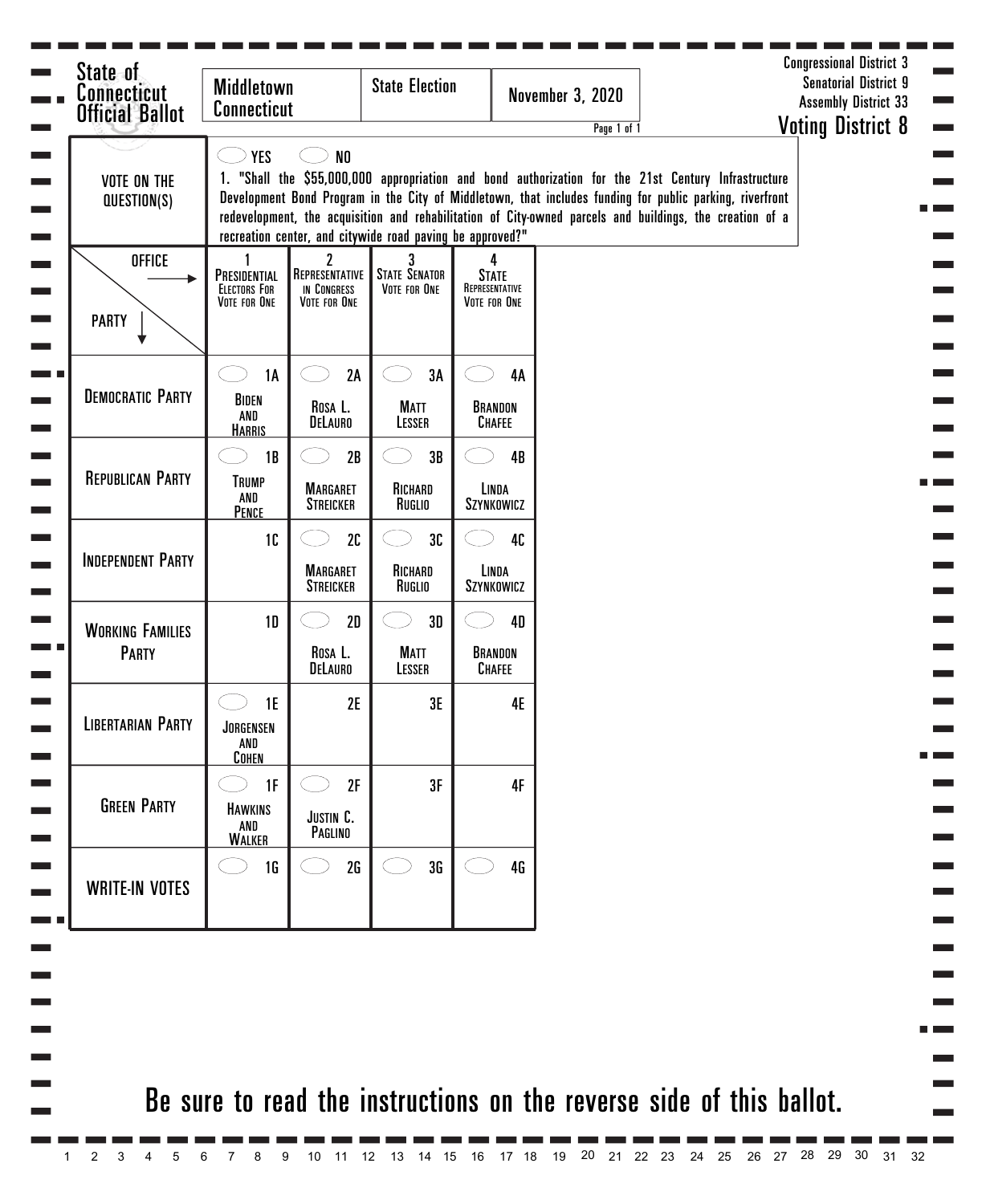| <b>Official Ballot</b><br><b>VOTE ON THE</b><br>QUESTION(S) | <b>Connecticut</b><br><b>YES</b>                    | N <sub>0</sub>                                     |                                                           |                                                     | Page 1 of 1<br>1. "Shall the \$55,000,000 appropriation and bond authorization for the 21st Century Infrastructure<br>Development Bond Program in the City of Middletown, that includes funding for public parking, riverfront |  | <b>Assembly District 33</b><br><b>Voting District 8</b> |
|-------------------------------------------------------------|-----------------------------------------------------|----------------------------------------------------|-----------------------------------------------------------|-----------------------------------------------------|--------------------------------------------------------------------------------------------------------------------------------------------------------------------------------------------------------------------------------|--|---------------------------------------------------------|
|                                                             |                                                     |                                                    | recreation center, and citywide road paving be approved?" |                                                     | redevelopment, the acquisition and rehabilitation of City-owned parcels and buildings, the creation of a                                                                                                                       |  |                                                         |
| <b>OFFICE</b><br><b>PARTY</b>                               | PRESIDENTIAL<br><b>ELECTORS FOR</b><br>VOTE FOR ONE | 2<br>REPRESENTATIVE<br>IN CONGRESS<br>VOTE FOR ONE | <b>STATE SENATOR</b><br>VOTE FOR ONE                      | 4<br><b>STATE</b><br>REPRESENTATIVE<br>VOTE FOR ONE |                                                                                                                                                                                                                                |  |                                                         |
|                                                             | <b>1A</b>                                           | 2A                                                 | 3A                                                        | <b>4A</b>                                           |                                                                                                                                                                                                                                |  |                                                         |
| <b>DEMOCRATIC PARTY</b>                                     | BIDEN<br>AND<br><b>HARRIS</b>                       | ROSA L.<br><b>DELAURO</b>                          | <b>MATT</b><br>LESSER                                     | BRANDON<br><b>CHAFEE</b>                            |                                                                                                                                                                                                                                |  |                                                         |
|                                                             | 1B                                                  | 2B                                                 | 3B                                                        | 4B                                                  |                                                                                                                                                                                                                                |  |                                                         |
| <b>REPUBLICAN PARTY</b>                                     | <b>TRUMP</b><br>AND<br><b>PENCE</b>                 | <b>MARGARET</b><br><b>STREICKER</b>                | RICHARD<br>Ruglio                                         | LINDA<br>SZYNKOWICZ                                 |                                                                                                                                                                                                                                |  |                                                         |
|                                                             | 10                                                  | 2C                                                 | 3C                                                        | 40                                                  |                                                                                                                                                                                                                                |  |                                                         |
| <b>INDEPENDENT PARTY</b>                                    |                                                     | <b>MARGARET</b><br><b>STREICKER</b>                | RICHARD<br>Ruglio                                         | LINDA<br>SZYNKOWICZ                                 |                                                                                                                                                                                                                                |  |                                                         |
| <b>WORKING FAMILIES</b>                                     | 1D                                                  | 2D                                                 | 3D                                                        | <b>4D</b>                                           |                                                                                                                                                                                                                                |  |                                                         |
| <b>PARTY</b>                                                |                                                     | ROSA L.<br><b>DELAURO</b>                          | <b>MATT</b><br>LESSER                                     | BRANDON<br><b>CHAFEE</b>                            |                                                                                                                                                                                                                                |  |                                                         |
| <b>LIBERTARIAN PARTY</b>                                    | 1E<br>JORGENSEN<br>AND<br><b>COHEN</b>              | 2E                                                 | 3E                                                        | 4E                                                  |                                                                                                                                                                                                                                |  |                                                         |
|                                                             | 1F                                                  | 2F                                                 | 3F                                                        | 4F                                                  |                                                                                                                                                                                                                                |  |                                                         |
| <b>GREEN PARTY</b>                                          | <b>HAWKINS</b><br>AND<br><b>WALKER</b>              | JUSTIN C.<br>PAGLINO                               |                                                           |                                                     |                                                                                                                                                                                                                                |  |                                                         |
| <b>WRITE-IN VOTES</b>                                       | 1 <sub>G</sub>                                      | 2G                                                 | 3G                                                        | 4G                                                  |                                                                                                                                                                                                                                |  |                                                         |
|                                                             |                                                     |                                                    |                                                           |                                                     |                                                                                                                                                                                                                                |  |                                                         |
|                                                             |                                                     |                                                    |                                                           |                                                     | Be sure to read the instructions on the reverse side of this ballot.                                                                                                                                                           |  |                                                         |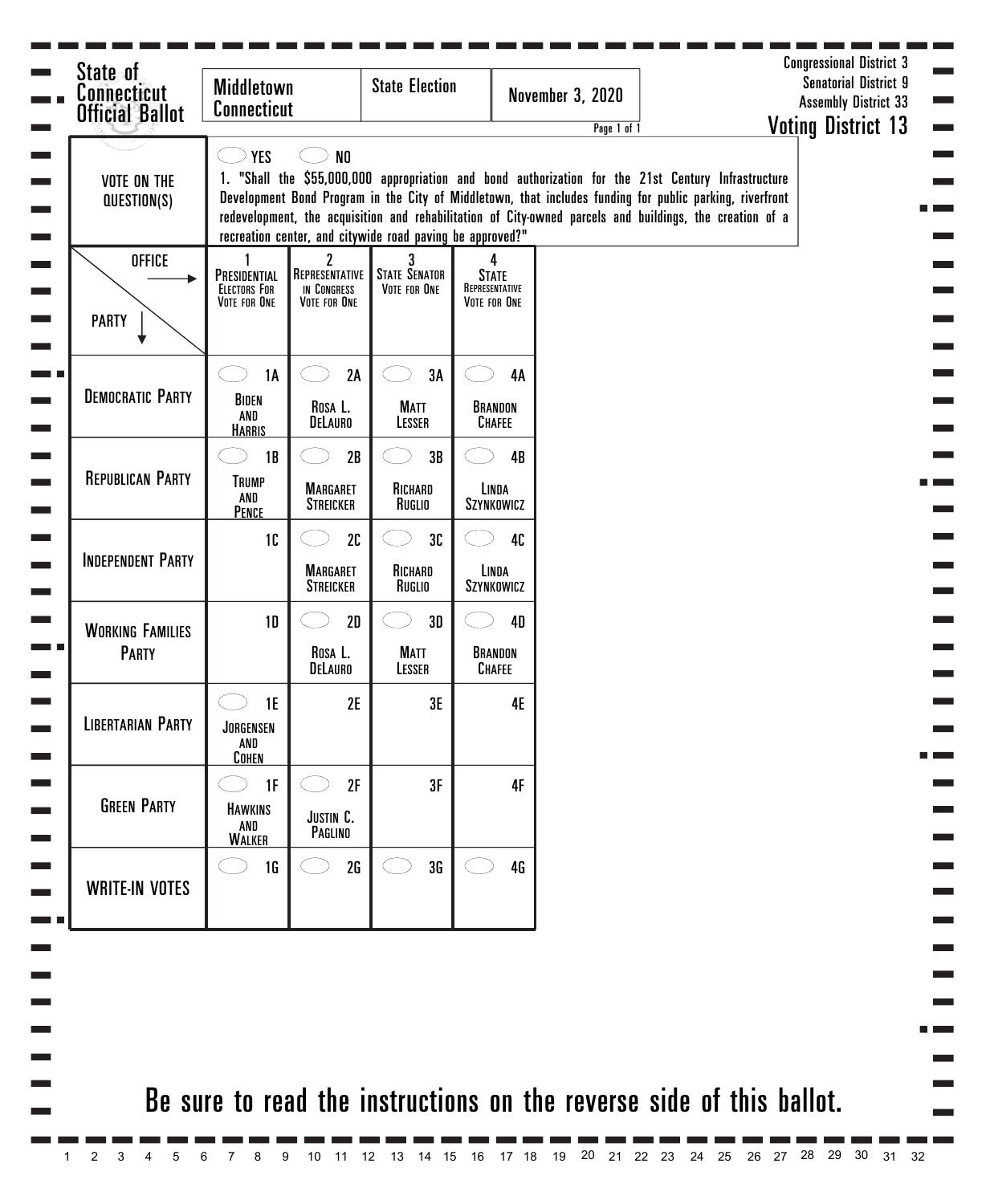| <b>VOTE ON THE</b><br>QUESTION(S)       | <b>YES</b>                                          | N <sub>0</sub>                                     | recreation center, and citywide road paving be approved?" |                                                     | Page 1 of 1<br>1. "Shall the \$55,000,000 appropriation and bond authorization for the 21st Century Infrastructure<br>Development Bond Program in the City of Middletown, that includes funding for public parking, riverfront<br>redevelopment, the acquisition and rehabilitation of City-owned parcels and buildings, the creation of a |  | <b>Voting District 13</b> |
|-----------------------------------------|-----------------------------------------------------|----------------------------------------------------|-----------------------------------------------------------|-----------------------------------------------------|--------------------------------------------------------------------------------------------------------------------------------------------------------------------------------------------------------------------------------------------------------------------------------------------------------------------------------------------|--|---------------------------|
| <b>OFFICE</b><br><b>PARTY</b>           | PRESIDENTIAL<br><b>ELECTORS FOR</b><br>VOTE FOR ONE | 2<br>REPRESENTATIVE<br>IN CONGRESS<br>VOTE FOR ONE | <b>STATE SENATOR</b><br>VOTE FOR ONE                      | 4<br><b>STATE</b><br>REPRESENTATIVE<br>VOTE FOR ONE |                                                                                                                                                                                                                                                                                                                                            |  |                           |
| <b>DEMOCRATIC PARTY</b>                 | <b>1A</b><br>BIDEN<br>AND<br><b>HARRIS</b>          | 2A<br>Rosa L.<br>DELAURO                           | 3A<br><b>MATT</b><br>LESSER                               | 4A<br>BRANDON<br>CHAFEE                             |                                                                                                                                                                                                                                                                                                                                            |  |                           |
| <b>REPUBLICAN PARTY</b>                 | 1B<br><b>TRUMP</b><br>AND<br>PENCE                  | 2B<br><b>MARGARET</b><br><b>STREICKER</b>          | 3B<br>RICHARD<br>Ruglio                                   | 4B<br>LINDA<br>SZYNKOWICZ                           |                                                                                                                                                                                                                                                                                                                                            |  |                           |
| <b>INDEPENDENT PARTY</b>                | 10                                                  | 2C<br><b>MARGARET</b><br><b>STREICKER</b>          | 3C<br>RICHARD<br>Ruglio                                   | 40<br>LINDA<br>SZYNKOWICZ                           |                                                                                                                                                                                                                                                                                                                                            |  |                           |
| <b>WORKING FAMILIES</b><br><b>PARTY</b> | 1D                                                  | 2D<br>Rosa L.<br>DELAURO                           | 3D<br><b>MATT</b><br>LESSER                               | <b>4D</b><br>BRANDON<br><b>CHAFEE</b>               |                                                                                                                                                                                                                                                                                                                                            |  |                           |
| <b>LIBERTARIAN PARTY</b>                | 1E<br>JORGENSEN<br>AND<br><b>COHEN</b>              | 2E                                                 | 3E                                                        | 4E                                                  |                                                                                                                                                                                                                                                                                                                                            |  |                           |
| <b>GREEN PARTY</b>                      | 1F<br><b>HAWKINS</b><br>AND<br><b>WALKER</b>        | 2F<br>JUSTIN C.<br>PAGLINO                         | 3F                                                        | 4F                                                  |                                                                                                                                                                                                                                                                                                                                            |  |                           |
| <b>WRITE-IN VOTES</b>                   | 1 <sub>G</sub>                                      | 2G                                                 | 3G                                                        | 4G                                                  |                                                                                                                                                                                                                                                                                                                                            |  |                           |
|                                         |                                                     |                                                    |                                                           |                                                     |                                                                                                                                                                                                                                                                                                                                            |  |                           |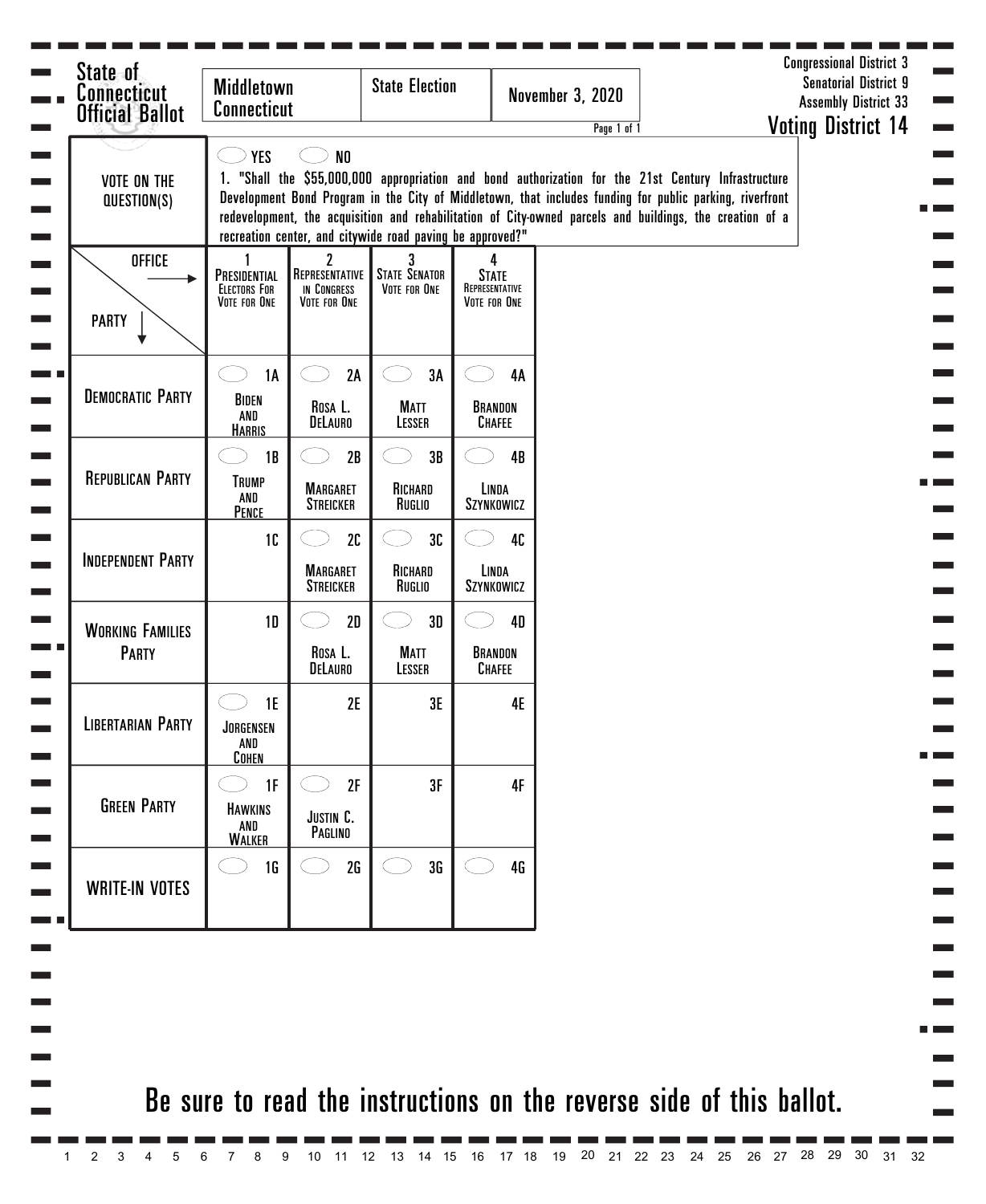| <b>VOTE ON THE</b><br>QUESTION(S)       | <b>YES</b>                                          | N <sub>0</sub>                                                  | recreation center, and citywide road paving be approved?" |                                                     | Page 1 of 1<br>1. "Shall the \$55,000,000 appropriation and bond authorization for the 21st Century Infrastructure<br>Development Bond Program in the City of Middletown, that includes funding for public parking, riverfront<br>redevelopment, the acquisition and rehabilitation of City-owned parcels and buildings, the creation of a |  | <b>Voting District 14</b> |
|-----------------------------------------|-----------------------------------------------------|-----------------------------------------------------------------|-----------------------------------------------------------|-----------------------------------------------------|--------------------------------------------------------------------------------------------------------------------------------------------------------------------------------------------------------------------------------------------------------------------------------------------------------------------------------------------|--|---------------------------|
| <b>OFFICE</b><br><b>PARTY</b>           | PRESIDENTIAL<br><b>ELECTORS FOR</b><br>VOTE FOR ONE | $\overline{2}$<br>REPRESENTATIVE<br>IN CONGRESS<br>VOTE FOR ONE | <b>STATE SENATOR</b><br>VOTE FOR ONE                      | 4<br><b>STATE</b><br>REPRESENTATIVE<br>VOTE FOR ONE |                                                                                                                                                                                                                                                                                                                                            |  |                           |
| <b>DEMOCRATIC PARTY</b>                 | <b>1A</b><br>BIDEN<br>AND<br><b>HARRIS</b>          | 2A<br>ROSA L.<br>DELAURO                                        | 3A<br><b>MATT</b><br>LESSER                               | 4A<br>BRANDON<br><b>CHAFEE</b>                      |                                                                                                                                                                                                                                                                                                                                            |  |                           |
| <b>REPUBLICAN PARTY</b>                 | 1B<br><b>TRUMP</b><br>AND<br>PENCE                  | 2B<br><b>MARGARET</b><br><b>STREICKER</b>                       | 3B<br>RICHARD<br>Ruglio                                   | 4B<br>LINDA<br>SZYNKOWICZ                           |                                                                                                                                                                                                                                                                                                                                            |  |                           |
| <b>INDEPENDENT PARTY</b>                | 10                                                  | 2C<br><b>MARGARET</b><br><b>STREICKER</b>                       | 3C<br>RICHARD<br>Ruglio                                   | 40<br>LINDA<br>SZYNKOWICZ                           |                                                                                                                                                                                                                                                                                                                                            |  |                           |
| <b>WORKING FAMILIES</b><br><b>PARTY</b> | 1D                                                  | 2D<br>Rosa L.<br>DELAURO                                        | 3D<br><b>MATT</b><br>LESSER                               | <b>4D</b><br>BRANDON<br><b>CHAFEE</b>               |                                                                                                                                                                                                                                                                                                                                            |  |                           |
| <b>LIBERTARIAN PARTY</b>                | 1E<br>JORGENSEN<br>AND<br><b>COHEN</b>              | 2E                                                              | 3E                                                        | <b>4E</b>                                           |                                                                                                                                                                                                                                                                                                                                            |  |                           |
| <b>GREEN PARTY</b>                      | 1F<br><b>HAWKINS</b><br>AND<br><b>WALKER</b>        | 2F<br>JUSTIN C.<br>PAGLINO                                      | 3F                                                        | 4F                                                  |                                                                                                                                                                                                                                                                                                                                            |  |                           |
| <b>WRITE-IN VOTES</b>                   | <b>1G</b>                                           | 2G                                                              | 3G                                                        | <b>4G</b>                                           |                                                                                                                                                                                                                                                                                                                                            |  |                           |
|                                         |                                                     |                                                                 |                                                           |                                                     |                                                                                                                                                                                                                                                                                                                                            |  |                           |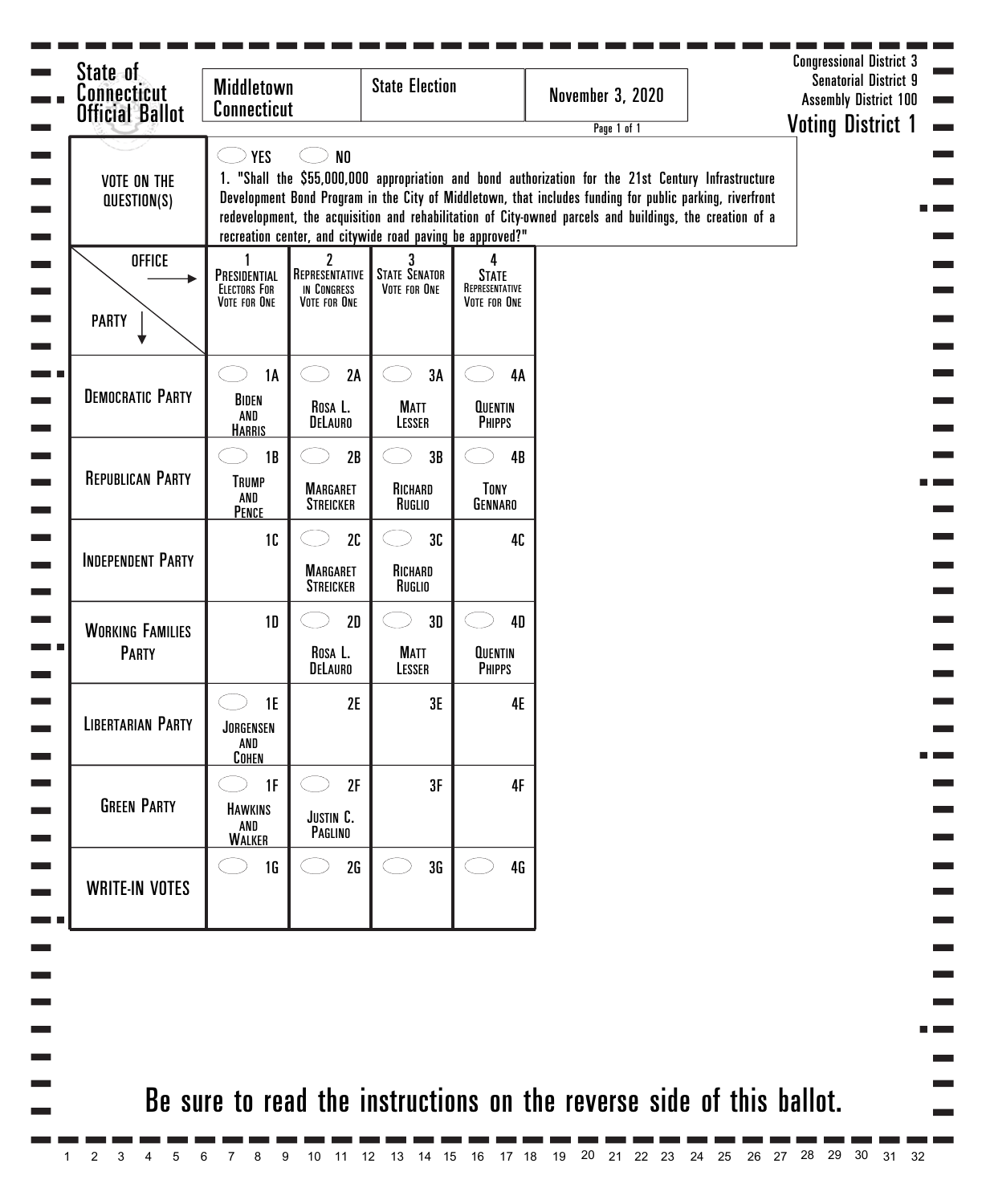| <b>Connecticut</b><br><b>Official Ballot</b> | <b>Middletown</b><br><b>Connecticut</b>             |                                                    | <b>State Election</b>                                     |                                                     | <b>November 3, 2020</b><br>Page 1 of 1                                                                                                                                                                                                                                                                                      | <b>Assembly District 100</b><br><b>Voting District 1</b> |
|----------------------------------------------|-----------------------------------------------------|----------------------------------------------------|-----------------------------------------------------------|-----------------------------------------------------|-----------------------------------------------------------------------------------------------------------------------------------------------------------------------------------------------------------------------------------------------------------------------------------------------------------------------------|----------------------------------------------------------|
| <b>VOTE ON THE</b><br>QUESTION(S)            | <b>YES</b>                                          | N <sub>0</sub>                                     | recreation center, and citywide road paving be approved?" |                                                     | 1. "Shall the \$55,000,000 appropriation and bond authorization for the 21st Century Infrastructure<br>Development Bond Program in the City of Middletown, that includes funding for public parking, riverfront<br>redevelopment, the acquisition and rehabilitation of City-owned parcels and buildings, the creation of a |                                                          |
| <b>OFFICE</b><br><b>PARTY</b>                | PRESIDENTIAL<br><b>ELECTORS FOR</b><br>VOTE FOR ONE | 2<br>REPRESENTATIVE<br>IN CONGRESS<br>VOTE FOR ONE | 3<br><b>STATE SENATOR</b><br>VOTE FOR ONE                 | 4<br><b>STATE</b><br>REPRESENTATIVE<br>VOTE FOR ONE |                                                                                                                                                                                                                                                                                                                             |                                                          |
| <b>DEMOCRATIC PARTY</b>                      | <b>1A</b><br>BIDEN<br>AND<br><b>HARRIS</b>          | 2A<br>Rosa L.<br>DELAURO                           | 3A<br><b>MATT</b><br>LESSER                               | 4A<br><b>QUENTIN</b><br><b>PHIPPS</b>               |                                                                                                                                                                                                                                                                                                                             |                                                          |
| <b>REPUBLICAN PARTY</b>                      | 1B<br><b>TRUMP</b><br>AND<br>PENCE                  | 2B<br><b>MARGARET</b><br><b>STREICKER</b>          | 3B<br>RICHARD<br>Ruglio                                   | 4B<br>TONY<br>GENNARO                               |                                                                                                                                                                                                                                                                                                                             |                                                          |
| <b>INDEPENDENT PARTY</b>                     | 10                                                  | 2C<br><b>MARGARET</b><br><b>STREICKER</b>          | 3C<br>RICHARD<br>Ruglio                                   | 40                                                  |                                                                                                                                                                                                                                                                                                                             |                                                          |
| <b>WORKING FAMILIES</b><br><b>PARTY</b>      | 1D                                                  | 2D<br>Rosa L.<br>DELAURO                           | 3D<br><b>MATT</b><br>LESSER                               | <b>4D</b><br><b>QUENTIN</b><br><b>PHIPPS</b>        |                                                                                                                                                                                                                                                                                                                             |                                                          |
| <b>LIBERTARIAN PARTY</b>                     | <b>1E</b><br>JORGENSEN<br>AND<br><b>COHEN</b>       | 2E                                                 | 3E                                                        | <b>4E</b>                                           |                                                                                                                                                                                                                                                                                                                             |                                                          |
| <b>GREEN PARTY</b>                           | 1F<br><b>HAWKINS</b><br>AND<br><b>WALKER</b>        | 2F<br>JUSTIN C.<br>PAGLINO                         | 3F                                                        | 4F                                                  |                                                                                                                                                                                                                                                                                                                             |                                                          |
| <b>WRITE-IN VOTES</b>                        | 1G                                                  | 2G                                                 | 3G                                                        | 4 <sub>G</sub>                                      |                                                                                                                                                                                                                                                                                                                             |                                                          |
|                                              |                                                     |                                                    |                                                           |                                                     |                                                                                                                                                                                                                                                                                                                             |                                                          |
|                                              |                                                     |                                                    |                                                           |                                                     | Be sure to read the instructions on the reverse side of this ballot.                                                                                                                                                                                                                                                        |                                                          |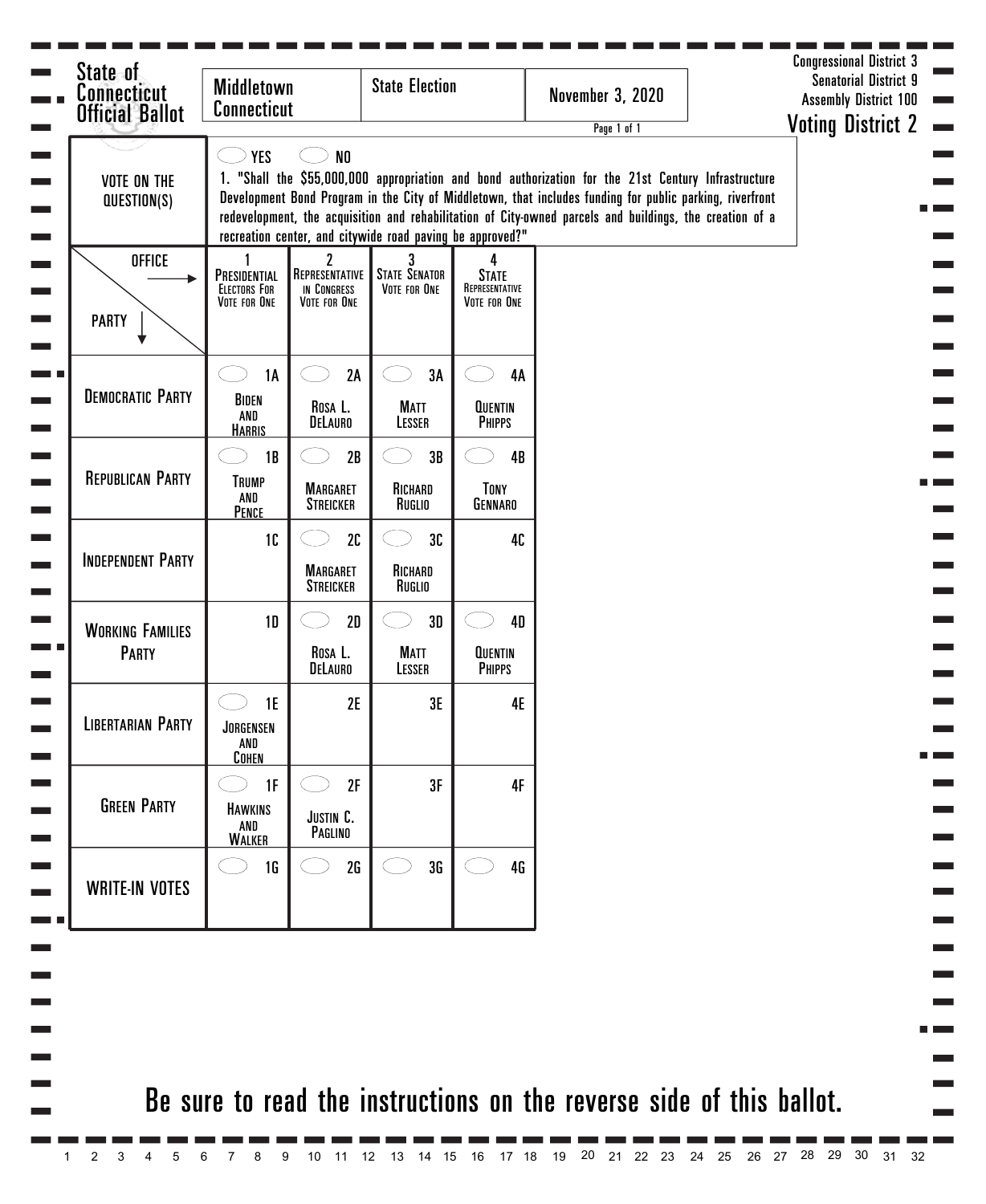| <b>Connecticut</b><br><b>Official Ballot</b> | <b>Middletown</b><br><b>Connecticut</b>             |                                                    | <b>State Election</b>                                     |                                                     | <b>November 3, 2020</b><br>Page 1 of 1                                                                                                                                                                                                                                                                                      | <b>Assembly District 100</b><br><b>Voting District 2</b> |
|----------------------------------------------|-----------------------------------------------------|----------------------------------------------------|-----------------------------------------------------------|-----------------------------------------------------|-----------------------------------------------------------------------------------------------------------------------------------------------------------------------------------------------------------------------------------------------------------------------------------------------------------------------------|----------------------------------------------------------|
| <b>VOTE ON THE</b><br>QUESTION(S)            | <b>YES</b>                                          | N <sub>0</sub>                                     | recreation center, and citywide road paving be approved?" |                                                     | 1. "Shall the \$55,000,000 appropriation and bond authorization for the 21st Century Infrastructure<br>Development Bond Program in the City of Middletown, that includes funding for public parking, riverfront<br>redevelopment, the acquisition and rehabilitation of City-owned parcels and buildings, the creation of a |                                                          |
| <b>OFFICE</b><br><b>PARTY</b>                | PRESIDENTIAL<br><b>ELECTORS FOR</b><br>VOTE FOR ONE | 2<br>REPRESENTATIVE<br>IN CONGRESS<br>VOTE FOR ONE | 3<br><b>STATE SENATOR</b><br>VOTE FOR ONE                 | 4<br><b>STATE</b><br>REPRESENTATIVE<br>VOTE FOR ONE |                                                                                                                                                                                                                                                                                                                             |                                                          |
| <b>DEMOCRATIC PARTY</b>                      | <b>1A</b><br>BIDEN<br>AND<br><b>HARRIS</b>          | 2A<br>Rosa L.<br>DELAURO                           | 3A<br><b>MATT</b><br>LESSER                               | 4A<br><b>QUENTIN</b><br><b>PHIPPS</b>               |                                                                                                                                                                                                                                                                                                                             |                                                          |
| <b>REPUBLICAN PARTY</b>                      | 1B<br><b>TRUMP</b><br>AND<br>PENCE                  | 2B<br><b>MARGARET</b><br><b>STREICKER</b>          | 3B<br>RICHARD<br>RUGLIO                                   | 4B<br>TONY<br>GENNARO                               |                                                                                                                                                                                                                                                                                                                             |                                                          |
| <b>INDEPENDENT PARTY</b>                     | 10                                                  | 2C<br><b>MARGARET</b><br><b>STREICKER</b>          | 3C<br>RICHARD<br>RUGLIO                                   | 40                                                  |                                                                                                                                                                                                                                                                                                                             |                                                          |
| <b>WORKING FAMILIES</b><br><b>PARTY</b>      | 1D                                                  | 2D<br>Rosa L.<br>DELAURO                           | 3D<br><b>MATT</b><br>LESSER                               | <b>4D</b><br><b>QUENTIN</b><br><b>PHIPPS</b>        |                                                                                                                                                                                                                                                                                                                             |                                                          |
| <b>LIBERTARIAN PARTY</b>                     | 1E<br>JORGENSEN<br>AND<br><b>COHEN</b>              | 2E                                                 | 3E                                                        | 4E                                                  |                                                                                                                                                                                                                                                                                                                             |                                                          |
| <b>GREEN PARTY</b>                           | 1F<br><b>HAWKINS</b><br>AND<br><b>WALKER</b>        | 2F<br>JUSTIN C.<br>PAGLINO                         | 3F                                                        | 4F                                                  |                                                                                                                                                                                                                                                                                                                             |                                                          |
| <b>WRITE-IN VOTES</b>                        | 1 <sub>G</sub>                                      | 2G                                                 | 3G                                                        | 46                                                  |                                                                                                                                                                                                                                                                                                                             |                                                          |
|                                              |                                                     |                                                    |                                                           |                                                     |                                                                                                                                                                                                                                                                                                                             |                                                          |
|                                              |                                                     |                                                    |                                                           |                                                     | Be sure to read the instructions on the reverse side of this ballot.                                                                                                                                                                                                                                                        |                                                          |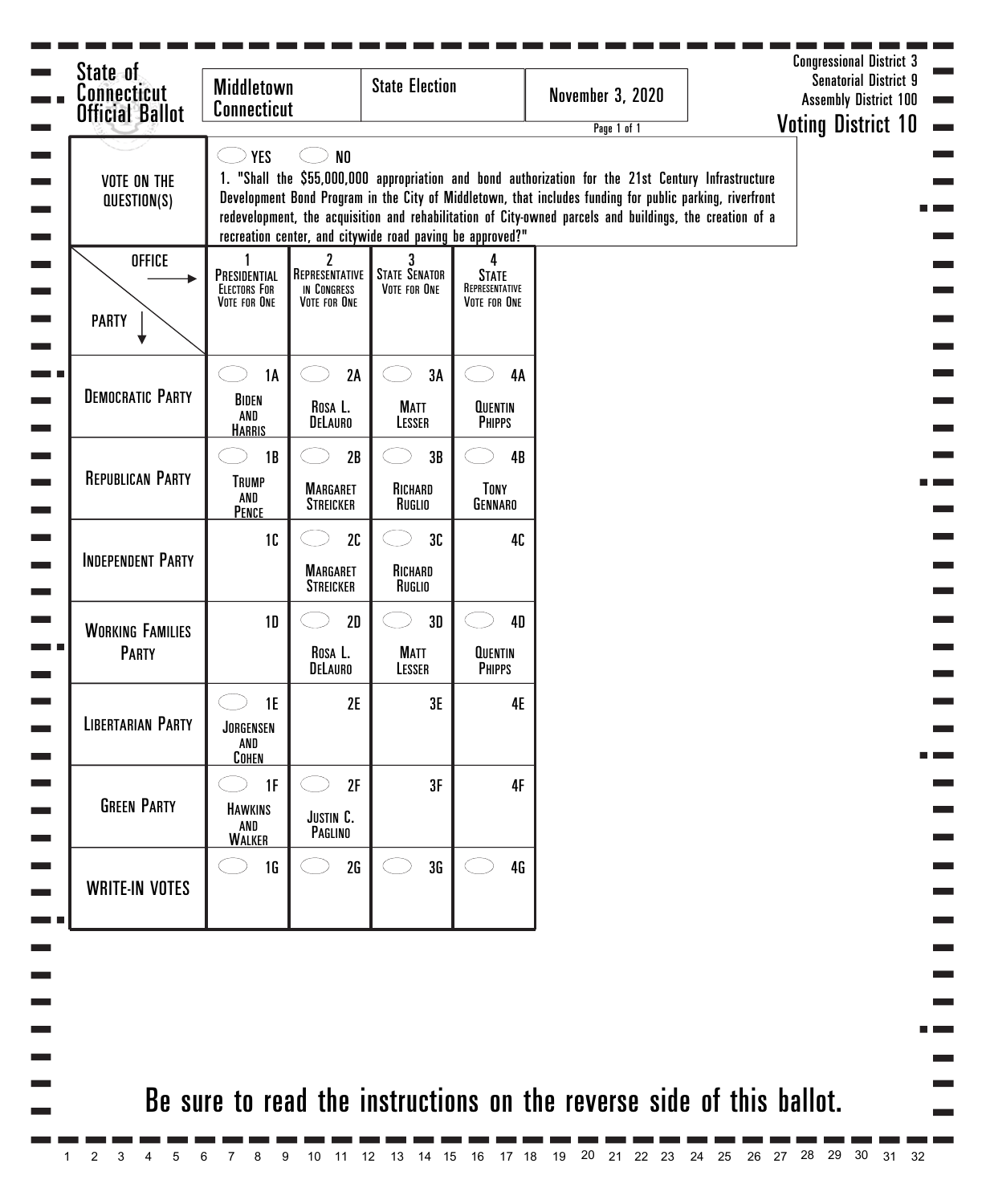| <b>Connecticut</b><br><b>Official Ballot</b> | <b>Middletown</b><br><b>Connecticut</b>             |                                                    | <b>State Election</b>                                     |                                                     | <b>November 3, 2020</b><br>Page 1 of 1                                                                                                                                                                                                                                                                                      |  | <b>Assembly District 100</b><br><b>Voting District 10</b> |
|----------------------------------------------|-----------------------------------------------------|----------------------------------------------------|-----------------------------------------------------------|-----------------------------------------------------|-----------------------------------------------------------------------------------------------------------------------------------------------------------------------------------------------------------------------------------------------------------------------------------------------------------------------------|--|-----------------------------------------------------------|
| <b>VOTE ON THE</b><br>QUESTION(S)            | <b>YES</b>                                          | N <sub>0</sub>                                     | recreation center, and citywide road paving be approved?" |                                                     | 1. "Shall the \$55,000,000 appropriation and bond authorization for the 21st Century Infrastructure<br>Development Bond Program in the City of Middletown, that includes funding for public parking, riverfront<br>redevelopment, the acquisition and rehabilitation of City-owned parcels and buildings, the creation of a |  |                                                           |
| <b>OFFICE</b><br><b>PARTY</b>                | PRESIDENTIAL<br><b>ELECTORS FOR</b><br>VOTE FOR ONE | 2<br>REPRESENTATIVE<br>IN CONGRESS<br>VOTE FOR ONE | 3<br><b>STATE SENATOR</b><br>VOTE FOR ONE                 | 4<br><b>STATE</b><br>REPRESENTATIVE<br>VOTE FOR ONE |                                                                                                                                                                                                                                                                                                                             |  |                                                           |
| <b>DEMOCRATIC PARTY</b>                      | <b>1A</b><br>BIDEN<br>AND<br><b>HARRIS</b>          | 2A<br>Rosa L.<br>DELAURO                           | 3A<br><b>MATT</b><br>LESSER                               | 4A<br><b>QUENTIN</b><br><b>PHIPPS</b>               |                                                                                                                                                                                                                                                                                                                             |  |                                                           |
| <b>REPUBLICAN PARTY</b>                      | 1B<br><b>TRUMP</b><br>AND<br>PENCE                  | 2B<br><b>MARGARET</b><br><b>STREICKER</b>          | 3B<br>RICHARD<br>Ruglio                                   | 4B<br>TONY<br>GENNARO                               |                                                                                                                                                                                                                                                                                                                             |  |                                                           |
| <b>INDEPENDENT PARTY</b>                     | 10                                                  | 2C<br><b>MARGARET</b><br><b>STREICKER</b>          | 3C<br>RICHARD<br>Ruglio                                   | 40                                                  |                                                                                                                                                                                                                                                                                                                             |  |                                                           |
| <b>WORKING FAMILIES</b><br><b>PARTY</b>      | 1D                                                  | 2D<br>Rosa L.<br>DELAURO                           | 3D<br><b>MATT</b><br>LESSER                               | 4D<br><b>QUENTIN</b><br><b>PHIPPS</b>               |                                                                                                                                                                                                                                                                                                                             |  |                                                           |
| <b>LIBERTARIAN PARTY</b>                     | <b>1E</b><br>JORGENSEN<br>AND<br><b>COHEN</b>       | 2E                                                 | 3E                                                        | <b>4E</b>                                           |                                                                                                                                                                                                                                                                                                                             |  |                                                           |
| <b>GREEN PARTY</b>                           | 1F<br><b>HAWKINS</b><br>AND<br><b>WALKER</b>        | 2F<br>JUSTIN C.<br>PAGLINO                         | 3F                                                        | 4F                                                  |                                                                                                                                                                                                                                                                                                                             |  |                                                           |
| <b>WRITE-IN VOTES</b>                        | 1G                                                  | 2G                                                 | 3G                                                        | 4 <sub>G</sub>                                      |                                                                                                                                                                                                                                                                                                                             |  |                                                           |
|                                              |                                                     |                                                    |                                                           |                                                     |                                                                                                                                                                                                                                                                                                                             |  |                                                           |
|                                              |                                                     |                                                    |                                                           |                                                     | Be sure to read the instructions on the reverse side of this ballot.                                                                                                                                                                                                                                                        |  |                                                           |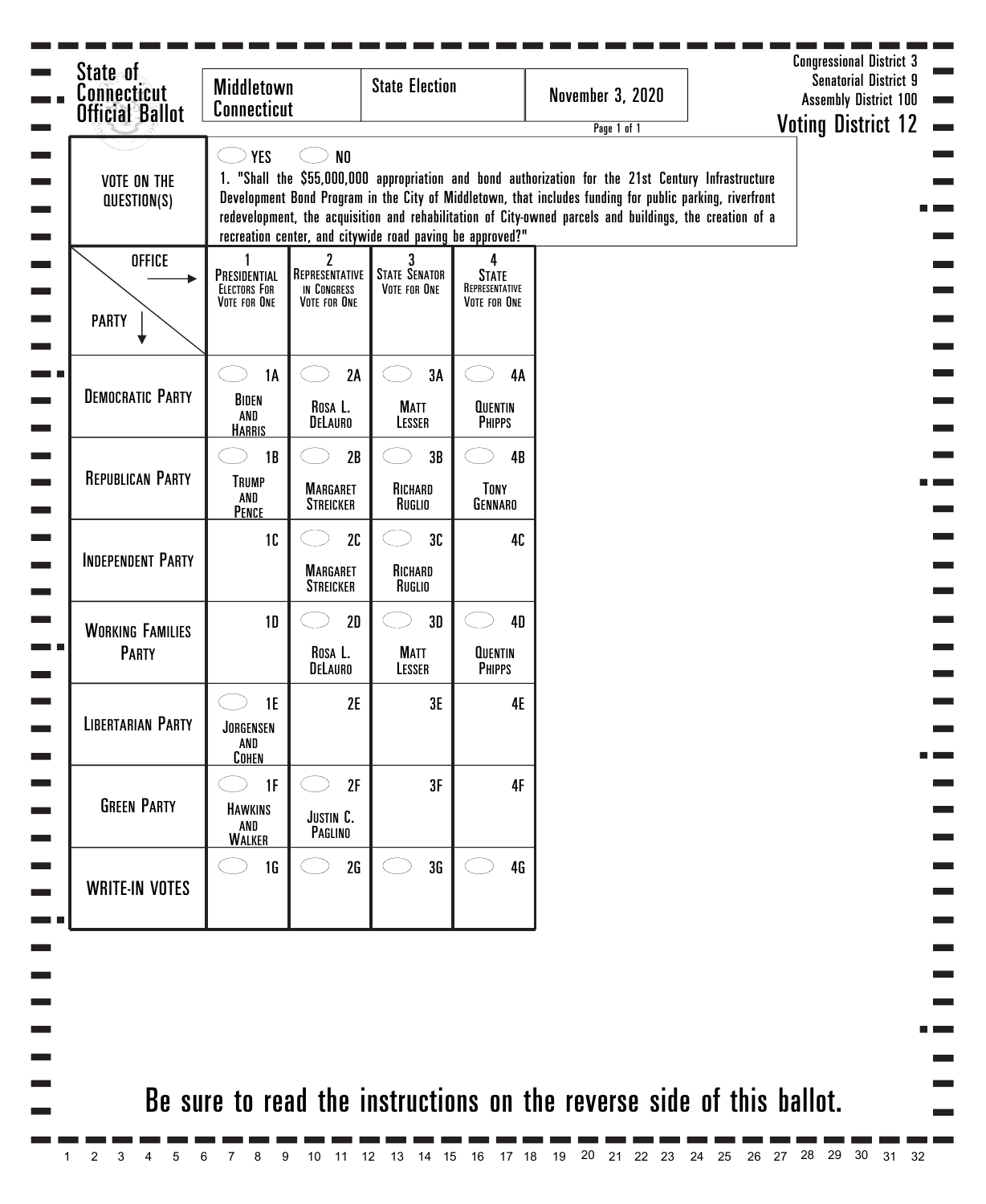| State of<br><b>Connecticut</b><br><b>Official Ballot</b> | <b>Middletown</b><br><b>Connecticut</b>             |                                                              | <b>State Election</b>                                     |                                                            | <b>November 3, 2020</b><br>Page 1 of 1                                                                                                                                                                                                                                                                                      | <b>Senatorial District 9</b><br><b>Assembly District 100</b><br><b>Voting District 12</b> |
|----------------------------------------------------------|-----------------------------------------------------|--------------------------------------------------------------|-----------------------------------------------------------|------------------------------------------------------------|-----------------------------------------------------------------------------------------------------------------------------------------------------------------------------------------------------------------------------------------------------------------------------------------------------------------------------|-------------------------------------------------------------------------------------------|
| <b>VOTE ON THE</b><br>QUESTION(S)                        | <b>YES</b>                                          | N <sub>0</sub>                                               | recreation center, and citywide road paving be approved?" |                                                            | 1. "Shall the \$55,000,000 appropriation and bond authorization for the 21st Century Infrastructure<br>Development Bond Program in the City of Middletown, that includes funding for public parking, riverfront<br>redevelopment, the acquisition and rehabilitation of City-owned parcels and buildings, the creation of a |                                                                                           |
| <b>OFFICE</b><br><b>PARTY</b>                            | PRESIDENTIAL<br><b>ELECTORS FOR</b><br>VOTE FOR ONE | $\mathbf 2$<br>REPRESENTATIVE<br>IN CONGRESS<br>VOTE FOR ONE | 3<br><b>STATE SENATOR</b><br>VOTE FOR ONE                 | 4<br><b>STATE</b><br>REPRESENTATIVE<br><b>VOTE FOR ONE</b> |                                                                                                                                                                                                                                                                                                                             |                                                                                           |
| <b>DEMOCRATIC PARTY</b>                                  | <b>1A</b><br>BIDEN<br>AND<br><b>HARRIS</b>          | 2A<br>Rosa L.<br>DELAURO                                     | 3A<br><b>MATT</b><br>LESSER                               | 4A<br><b>QUENTIN</b><br><b>PHIPPS</b>                      |                                                                                                                                                                                                                                                                                                                             |                                                                                           |
| <b>REPUBLICAN PARTY</b>                                  | 1B<br><b>TRUMP</b><br>AND<br><b>PENCE</b>           | 2B<br><b>MARGARET</b><br><b>STREICKER</b>                    | 3B<br>RICHARD<br>RUGLIO                                   | 4B<br>TONY<br>GENNARO                                      |                                                                                                                                                                                                                                                                                                                             |                                                                                           |
| <b>INDEPENDENT PARTY</b>                                 | 10                                                  | 2C<br><b>MARGARET</b><br><b>STREICKER</b>                    | 3C<br>RICHARD<br>RUGLIO                                   | 40                                                         |                                                                                                                                                                                                                                                                                                                             |                                                                                           |
| <b>WORKING FAMILIES</b><br><b>PARTY</b>                  | 1D                                                  | 2D<br>Rosa L.<br>DELAURO                                     | 3D<br><b>MATT</b><br>LESSER                               | <b>4D</b><br><b>QUENTIN</b><br><b>PHIPPS</b>               |                                                                                                                                                                                                                                                                                                                             |                                                                                           |
| <b>LIBERTARIAN PARTY</b>                                 | <b>1E</b><br>JORGENSEN<br>AND<br>COHEN              | 2E                                                           | 3E                                                        | 4E                                                         |                                                                                                                                                                                                                                                                                                                             |                                                                                           |
| <b>GREEN PARTY</b>                                       | 1F<br><b>HAWKINS</b><br>AND<br><b>WALKER</b>        | 2F<br>JUSTIN C.<br>PAGLINO                                   | 3F                                                        | 4F                                                         |                                                                                                                                                                                                                                                                                                                             |                                                                                           |
| <b>WRITE-IN VOTES</b>                                    | 1G                                                  | 2G                                                           | 3G                                                        | 4 <sub>G</sub>                                             |                                                                                                                                                                                                                                                                                                                             |                                                                                           |
|                                                          |                                                     |                                                              |                                                           |                                                            |                                                                                                                                                                                                                                                                                                                             |                                                                                           |
|                                                          |                                                     |                                                              |                                                           |                                                            |                                                                                                                                                                                                                                                                                                                             | Be sure to read the instructions on the reverse side of this ballot.                      |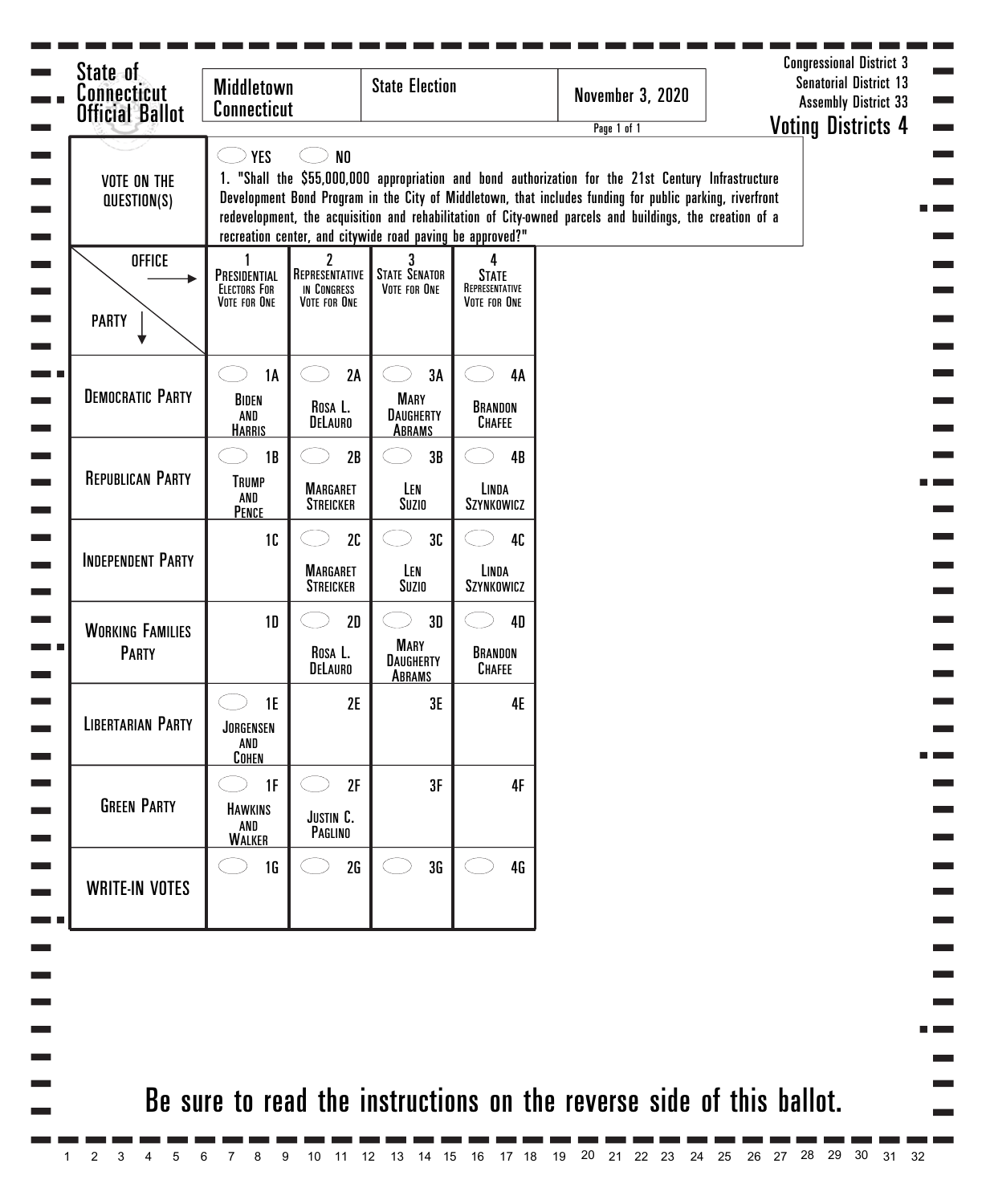| <b>Official Ballot</b><br><b>VOTE ON THE</b><br>QUESTION(S) | <b>Connecticut</b><br><b>YES</b>                    | N <sub>0</sub>                                                  | recreation center, and citywide road paving be approved?" |                                                     | Page 1 of 1<br>1. "Shall the \$55,000,000 appropriation and bond authorization for the 21st Century Infrastructure<br>Development Bond Program in the City of Middletown, that includes funding for public parking, riverfront<br>redevelopment, the acquisition and rehabilitation of City-owned parcels and buildings, the creation of a | <b>Voting Districts 4</b> |
|-------------------------------------------------------------|-----------------------------------------------------|-----------------------------------------------------------------|-----------------------------------------------------------|-----------------------------------------------------|--------------------------------------------------------------------------------------------------------------------------------------------------------------------------------------------------------------------------------------------------------------------------------------------------------------------------------------------|---------------------------|
| <b>OFFICE</b><br><b>PARTY</b>                               | PRESIDENTIAL<br><b>ELECTORS FOR</b><br>VOTE FOR ONE | $\overline{c}$<br>REPRESENTATIVE<br>IN CONGRESS<br>VOTE FOR ONE | <b>STATE SENATOR</b><br>VOTE FOR ONE                      | 4<br><b>STATE</b><br>REPRESENTATIVE<br>VOTE FOR ONE |                                                                                                                                                                                                                                                                                                                                            |                           |
| <b>DEMOCRATIC PARTY</b>                                     | <b>1A</b><br>BIDEN<br>AND<br><b>HARRIS</b>          | 2A<br>Rosa L.<br>DELAURO                                        | 3A<br><b>MARY</b><br><b>DAUGHERTY</b><br><b>ABRAMS</b>    | 4A<br>BRANDON<br><b>CHAFEE</b>                      |                                                                                                                                                                                                                                                                                                                                            |                           |
| <b>REPUBLICAN PARTY</b>                                     | 1B<br><b>TRUMP</b><br>AND<br>PENCE                  | 2B<br><b>MARGARET</b><br><b>STREICKER</b>                       | 3B<br>LEN<br>Suzio                                        | 4B<br>LINDA<br>SZYNKOWICZ                           |                                                                                                                                                                                                                                                                                                                                            |                           |
| <b>INDEPENDENT PARTY</b>                                    | 10                                                  | 2C<br><b>MARGARET</b><br><b>STREICKER</b>                       | 3C<br>LEN<br>Suzio                                        | 40<br>LINDA<br>SZYNKOWICZ                           |                                                                                                                                                                                                                                                                                                                                            |                           |
| <b>WORKING FAMILIES</b><br><b>PARTY</b>                     | 1D                                                  | 2D<br>Rosa L.<br>DELAURO                                        | 3D<br><b>MARY</b><br><b>DAUGHERTY</b><br>ABRAMS           | <b>4D</b><br>BRANDON<br><b>CHAFEE</b>               |                                                                                                                                                                                                                                                                                                                                            |                           |
| <b>LIBERTARIAN PARTY</b>                                    | 1E<br>JORGENSEN<br>AND<br><b>COHEN</b>              | 2E                                                              | 3E                                                        | 4E                                                  |                                                                                                                                                                                                                                                                                                                                            |                           |
| <b>GREEN PARTY</b>                                          | 1F<br><b>HAWKINS</b><br>AND<br><b>WALKER</b>        | 2F<br>JUSTIN C.<br>PAGLINO                                      | 3F                                                        | 4F                                                  |                                                                                                                                                                                                                                                                                                                                            |                           |
| <b>WRITE-IN VOTES</b>                                       | 1 <sub>G</sub>                                      | 2G                                                              | 3G                                                        | 4G                                                  |                                                                                                                                                                                                                                                                                                                                            |                           |
|                                                             |                                                     |                                                                 |                                                           |                                                     |                                                                                                                                                                                                                                                                                                                                            |                           |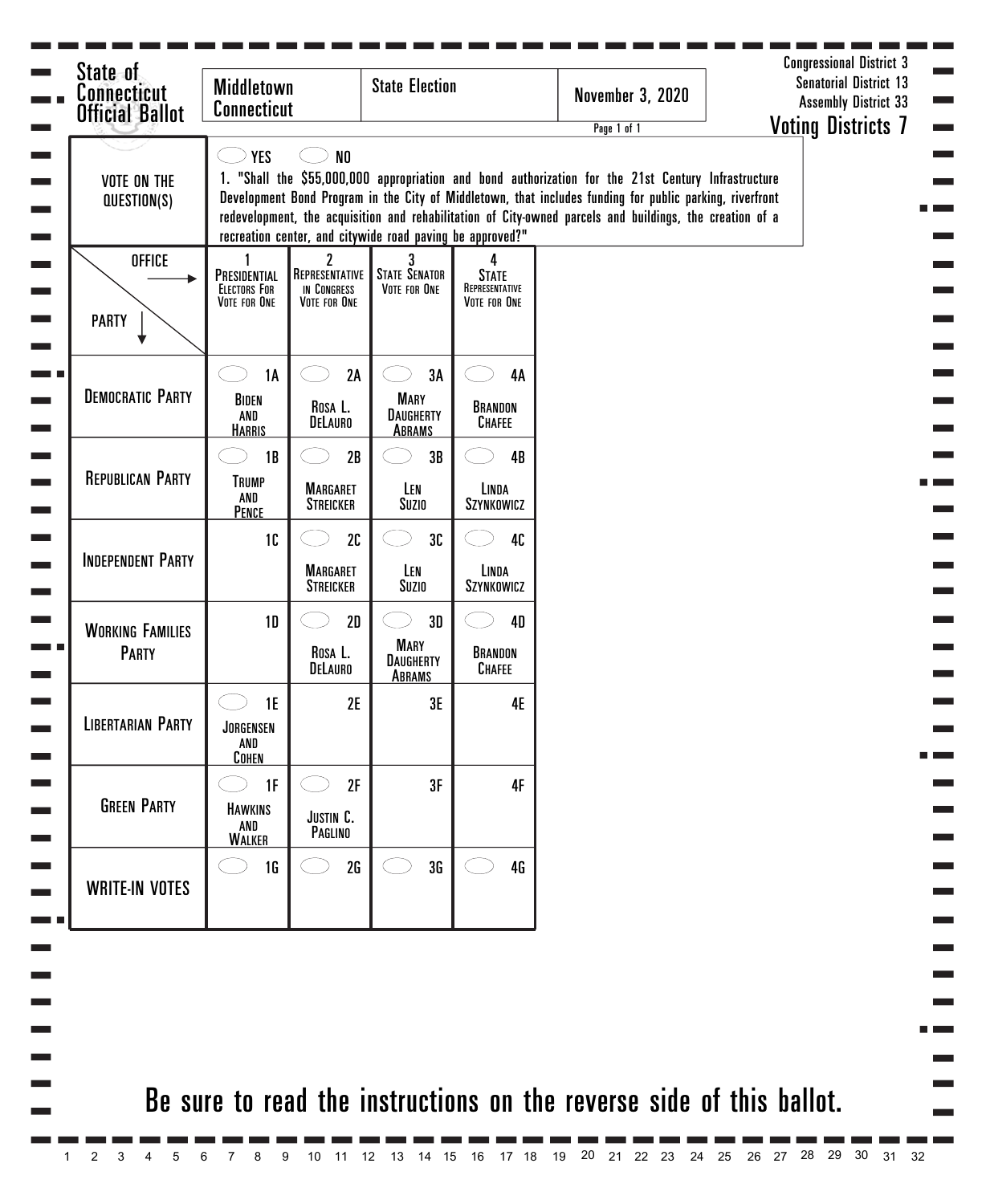| <b>Official Ballot</b><br><b>VOTE ON THE</b> | <b>Connecticut</b><br><b>YES</b>                    | N <sub>0</sub>                                     |                                                           |                                                     | Page 1 of 1<br>1. "Shall the \$55,000,000 appropriation and bond authorization for the 21st Century Infrastructure                                                                                                   | <b>Voting Districts 7</b> |
|----------------------------------------------|-----------------------------------------------------|----------------------------------------------------|-----------------------------------------------------------|-----------------------------------------------------|----------------------------------------------------------------------------------------------------------------------------------------------------------------------------------------------------------------------|---------------------------|
| QUESTION(S)                                  |                                                     |                                                    | recreation center, and citywide road paving be approved?" |                                                     | Development Bond Program in the City of Middletown, that includes funding for public parking, riverfront<br>redevelopment, the acquisition and rehabilitation of City-owned parcels and buildings, the creation of a |                           |
| <b>OFFICE</b><br><b>PARTY</b>                | PRESIDENTIAL<br><b>ELECTORS FOR</b><br>VOTE FOR ONE | 2<br>REPRESENTATIVE<br>IN CONGRESS<br>VOTE FOR ONE | <b>STATE SENATOR</b><br>VOTE FOR ONE                      | 4<br><b>STATE</b><br>REPRESENTATIVE<br>VOTE FOR ONE |                                                                                                                                                                                                                      |                           |
| <b>DEMOCRATIC PARTY</b>                      | <b>1A</b><br>BIDEN<br>AND<br><b>HARRIS</b>          | 2A<br>Rosa L.<br>DELAURO                           | 3A<br><b>MARY</b><br><b>DAUGHERTY</b><br><b>ABRAMS</b>    | <b>4A</b><br>BRANDON<br><b>CHAFEE</b>               |                                                                                                                                                                                                                      |                           |
| <b>REPUBLICAN PARTY</b>                      | 1B<br><b>TRUMP</b><br>AND<br>PENCE                  | 2B<br><b>MARGARET</b><br><b>STREICKER</b>          | 3B<br>LEN<br>Suzio                                        | 4B<br>LINDA<br>SZYNKOWICZ                           |                                                                                                                                                                                                                      |                           |
| <b>INDEPENDENT PARTY</b>                     | 1C                                                  | 2C<br><b>MARGARET</b><br><b>STREICKER</b>          | 3C<br>LEN<br>Suzio                                        | 40<br>LINDA<br>SZYNKOWICZ                           |                                                                                                                                                                                                                      |                           |
| <b>WORKING FAMILIES</b><br><b>PARTY</b>      | <b>1D</b>                                           | 2D<br>ROSA L.<br>DELAURO                           | 3D<br><b>MARY</b><br><b>DAUGHERTY</b><br><b>ABRAMS</b>    | <b>4D</b><br>BRANDON<br>CHAFEE                      |                                                                                                                                                                                                                      |                           |
| <b>LIBERTARIAN PARTY</b>                     | 1E<br>JORGENSEN<br>AND<br>COHEN                     | 2E                                                 | 3E                                                        | 4E                                                  |                                                                                                                                                                                                                      |                           |
| <b>GREEN PARTY</b>                           | 1F<br><b>HAWKINS</b><br>AND<br><b>WALKER</b>        | 2F<br>JUSTIN C.<br>PAGLINO                         | 3F                                                        | 4F                                                  |                                                                                                                                                                                                                      |                           |
| <b>WRITE-IN VOTES</b>                        | 1 <sub>G</sub>                                      | 2G                                                 | 3G                                                        | 4G                                                  |                                                                                                                                                                                                                      |                           |
|                                              |                                                     |                                                    |                                                           |                                                     |                                                                                                                                                                                                                      |                           |
|                                              |                                                     |                                                    |                                                           |                                                     | Be sure to read the instructions on the reverse side of this ballot.                                                                                                                                                 |                           |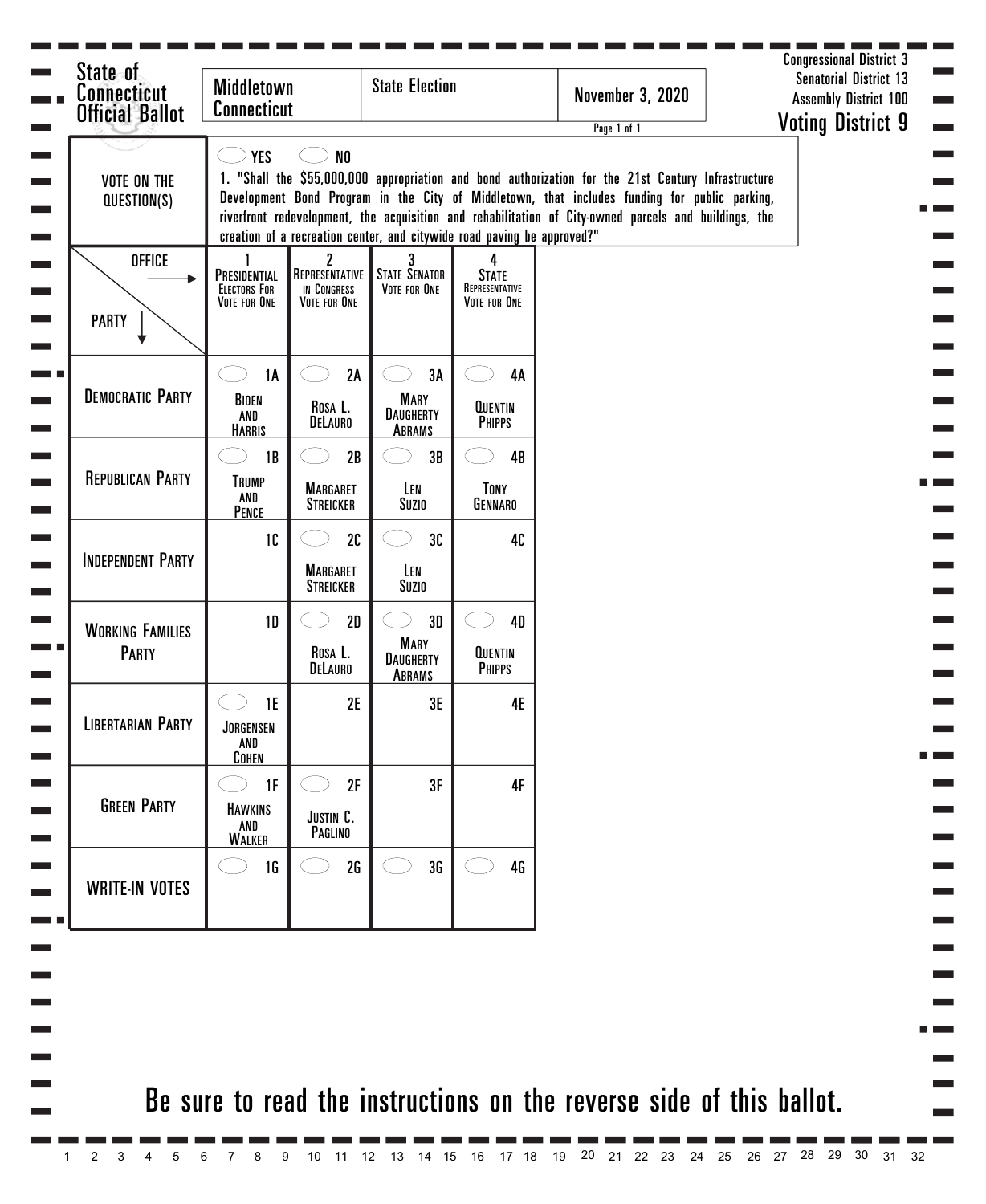| State of<br><b>Connecticut</b><br><b>Official Ballot</b> | <b>Middletown</b><br><b>Connecticut</b>                                                                                                                                                                                                                                                                                                                                                                |                                                               | <b>State Election</b>                                  |                                                     | <b>November 3, 2020</b><br>Page 1 of 1                               | <b>Senatorial District 13</b><br><b>Assembly District 100</b><br><b>Voting District 9</b> |
|----------------------------------------------------------|--------------------------------------------------------------------------------------------------------------------------------------------------------------------------------------------------------------------------------------------------------------------------------------------------------------------------------------------------------------------------------------------------------|---------------------------------------------------------------|--------------------------------------------------------|-----------------------------------------------------|----------------------------------------------------------------------|-------------------------------------------------------------------------------------------|
| <b>VOTE ON THE</b><br>QUESTION(S)                        | <b>YES</b><br>1. "Shall the \$55,000,000 appropriation and bond authorization for the 21st Century Infrastructure<br>Development Bond Program in the City of Middletown, that includes funding for public parking,<br>riverfront redevelopment, the acquisition and rehabilitation of City-owned parcels and buildings, the<br>creation of a recreation center, and citywide road paving be approved?" |                                                               |                                                        |                                                     |                                                                      |                                                                                           |
| <b>OFFICE</b><br><b>PARTY</b>                            | PRESIDENTIAL<br><b>ELECTORS FOR</b><br>VOTE FOR ONE                                                                                                                                                                                                                                                                                                                                                    | $\mathbf{2}$<br>REPRESENTATIVE<br>IN CONGRESS<br>VOTE FOR ONE | <b>STATE SENATOR</b><br>VOTE FOR ONE                   | 4<br><b>STATE</b><br>REPRESENTATIVE<br>VOTE FOR ONE |                                                                      |                                                                                           |
| <b>DEMOCRATIC PARTY</b>                                  | <b>1A</b><br>BIDEN<br>AND<br><b>HARRIS</b>                                                                                                                                                                                                                                                                                                                                                             | 2A<br>ROSA L.<br>DELAURO                                      | 3A<br><b>MARY</b><br><b>DAUGHERTY</b><br><b>ABRAMS</b> | 4A<br><b>QUENTIN</b><br><b>PHIPPS</b>               |                                                                      |                                                                                           |
| <b>REPUBLICAN PARTY</b>                                  | 1B<br><b>TRUMP</b><br>AND<br>PENCE                                                                                                                                                                                                                                                                                                                                                                     | 2B<br><b>MARGARET</b><br><b>STREICKER</b>                     | 3B<br>LEN<br>Suzio                                     | 4B<br>TONY<br>GENNARO                               |                                                                      |                                                                                           |
| <b>INDEPENDENT PARTY</b>                                 | 1C                                                                                                                                                                                                                                                                                                                                                                                                     | 2C<br><b>MARGARET</b><br><b>STREICKER</b>                     | 30<br>LEN<br>Suzio                                     | 40                                                  |                                                                      |                                                                                           |
| <b>WORKING FAMILIES</b><br><b>PARTY</b>                  | 1 <sub>D</sub>                                                                                                                                                                                                                                                                                                                                                                                         | 2D<br>ROSA L.<br><b>DELAURO</b>                               | 3D<br><b>MARY</b><br><b>DAUGHERTY</b><br>ABRAMS        | <b>4D</b><br><b>QUENTIN</b><br><b>PHIPPS</b>        |                                                                      |                                                                                           |
| <b>LIBERTARIAN PARTY</b>                                 | 1E<br>JORGENSEN<br>AND<br><b>COHEN</b>                                                                                                                                                                                                                                                                                                                                                                 | 2E                                                            | 3E                                                     | <b>4E</b>                                           |                                                                      |                                                                                           |
| <b>GREEN PARTY</b>                                       | 1F<br><b>HAWKINS</b><br>AND<br><b>WALKER</b>                                                                                                                                                                                                                                                                                                                                                           | 2F<br>JUSTIN C.<br>PAGLINO                                    | 3F                                                     | 4F                                                  |                                                                      |                                                                                           |
| <b>WRITE-IN VOTES</b>                                    | 1 <sub>G</sub>                                                                                                                                                                                                                                                                                                                                                                                         | 2G                                                            | 3G                                                     | 4 <sub>G</sub>                                      |                                                                      |                                                                                           |
|                                                          |                                                                                                                                                                                                                                                                                                                                                                                                        |                                                               |                                                        |                                                     |                                                                      |                                                                                           |
|                                                          |                                                                                                                                                                                                                                                                                                                                                                                                        |                                                               |                                                        |                                                     | Be sure to read the instructions on the reverse side of this ballot. |                                                                                           |